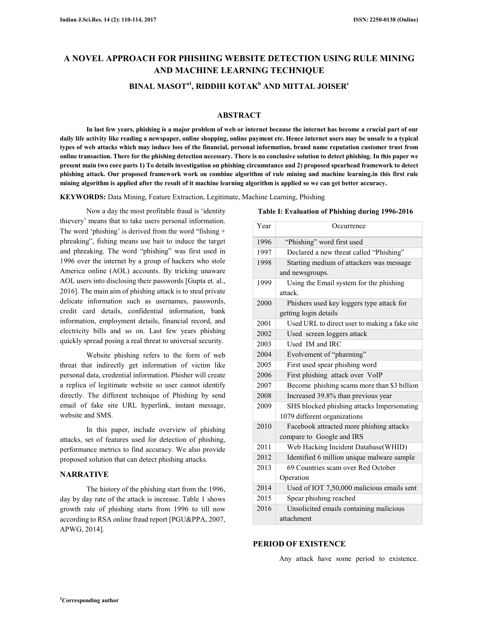### **A NOVEL APPROACH FOR PHISHING WEBSITE DETECTION USING RULE MINING AND MACHINE LEARNING TECHNIQUE BINAL MASOTa1, RIDDHI KOTAK<sup>b</sup> AND MITTAL JOISER<sup>c</sup>**

#### **ABSTRACT**

**In last few years, phishing is a major problem of web or internet because the internet has become a crucial part of our daily life activity like reading a newspaper, online shopping, online payment etc. Hence internet users may be unsafe to a typical types of web attacks which may induce loss of the financial, personal information, brand name reputation customer trust from online transaction. There for the phishing detection necessary. There is no conclusive solution to detect phishing. In this paper we present main two core parts 1) To details investigation on phishing circumstance and 2) proposed spearhead framework to detect phishing attack. Our proposed framework work on combine algorithm of rule mining and machine learning.in this first rule mining algorithm is applied after the result of it machine learning algorithm is applied so we can get better accuracy.** 

**KEYWORDS:** Data Mining, Feature Extraction, Legitimate, Machine Learning, Phishing

Now a day the most profitable fraud is 'identity thievery' means that to take users personal information. The word 'phishing' is derived from the word "fishing + phreaking", fishing means use bait to induce the target and phreaking. The word "phishing" was first used in 1996 over the internet by a group of hackers who stole America online (AOL) accounts. By tricking unaware AOL users into disclosing their passwords [Gupta et. al., 2016]. The main aim of phishing attack is to steal private delicate information such as usernames, passwords, credit card details, confidential information, bank information, employment details, financial record, and electricity bills and so on. Last few years phishing quickly spread posing a real threat to universal security.

Website phishing refers to the form of web threat that indirectly get information of victim like personal data, credential information. Phisher will create a replica of legitimate website so user cannot identify directly. The different technique of Phishing by send email of fake site URL hyperlink, instant message, website and SMS.

In this paper, include overview of phishing attacks, set of features used for detection of phishing, performance metrics to find accuracy. We also provide proposed solution that can detect phishing attacks.

#### **NARRATIVE**

The history of the phishing start from the 1996, day by day rate of the attack is increase. Table 1 shows growth rate of phishing starts from 1996 to till now according to RSA online fraud report [PGU&PPA, 2007, APWG, 2014].

| Year | Occurrence                                    |
|------|-----------------------------------------------|
| 1996 | "Phishing" word first used                    |
| 1997 | Declared a new threat called "Phishing"       |
| 1998 | Starting medium of attackers was message      |
|      | and newsgroups.                               |
| 1999 | Using the Email system for the phishing       |
|      | attack.                                       |
| 2000 | Phishers used key loggers type attack for     |
|      | getting login details                         |
| 2001 | Used URL to direct user to making a fake site |
| 2002 | Used screen loggers attack                    |
| 2003 | Used IM and IRC                               |
| 2004 | Evolvement of "pharming"                      |
| 2005 | First used spear phishing word                |
| 2006 | First phishing attack over VoIP               |
| 2007 | Become phishing scams more than \$3 billion   |
| 2008 | Increased 39.8% than previous year            |
| 2009 | SHS blocked phishing attacks Impersonating    |
|      | 1079 different organizations                  |
| 2010 | Facebook attracted more phishing attacks      |
|      | compare to Google and IRS                     |
| 2011 | Web Hacking Incident Database(WHID)           |
| 2012 | Identified 6 million unique malware sample    |
| 2013 | 69 Countries scam over Red October            |
|      | Operation                                     |
| 2014 | Used of IOT 7,50,000 malicious emails sent    |
| 2015 | Spear phishing reached                        |
| 2016 | Unsolicited emails containing malicious       |
|      | attachment                                    |

#### **Table I: Evaluation of Phishing during 1996-2016**

#### **PERIOD OF EXISTENCE**

Any attack have some period to existence.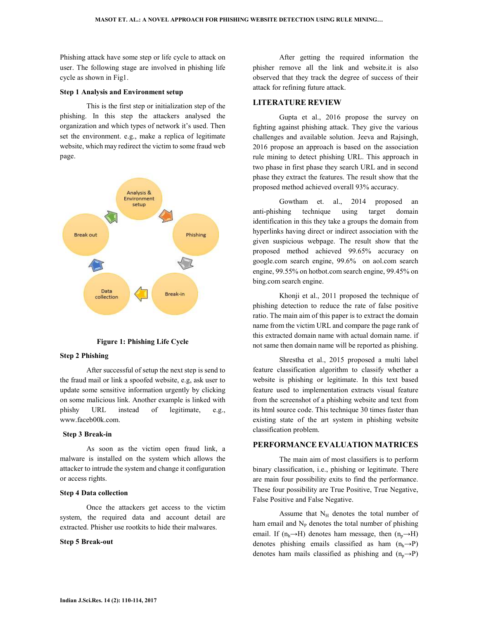Phishing attack have some step or life cycle to attack on user. The following stage are involved in phishing life cycle as shown in Fig1.

#### **Step 1 Analysis and Environment setup**

This is the first step or initialization step of the phishing. In this step the attackers analysed the organization and which types of network it's used. Then set the environment. e.g., make a replica of legitimate website, which may redirect the victim to some fraud web page.



**Figure 1: Phishing Life Cycle** 

#### **Step 2 Phishing**

After successful of setup the next step is send to the fraud mail or link a spoofed website, e.g, ask user to update some sensitive information urgently by clicking on some malicious link. Another example is linked with phishy URL instead of legitimate, e.g., www.faceb00k.com.

#### **Step 3 Break-in**

As soon as the victim open fraud link, a malware is installed on the system which allows the attacker to intrude the system and change it configuration or access rights.

#### **Step 4 Data collection**

Once the attackers get access to the victim system, the required data and account detail are extracted. Phisher use rootkits to hide their malwares.

#### **Step 5 Break-out**

After getting the required information the phisher remove all the link and website.it is also observed that they track the degree of success of their attack for refining future attack.

#### **LITERATURE REVIEW**

Gupta et al., 2016 propose the survey on fighting against phishing attack. They give the various challenges and available solution. Jeeva and Rajsingh, 2016 propose an approach is based on the association rule mining to detect phishing URL. This approach in two phase in first phase they search URL and in second phase they extract the features. The result show that the proposed method achieved overall 93% accuracy.

Gowtham et. al., 2014 proposed an anti-phishing technique using target domain identification in this they take a groups the domain from hyperlinks having direct or indirect association with the given suspicious webpage. The result show that the proposed method achieved 99.65% accuracy on google.com search engine, 99.6% on aol.com search engine, 99.55% on hotbot.com search engine, 99.45% on bing.com search engine.

Khonji et al., 2011 proposed the technique of phishing detection to reduce the rate of false positive ratio. The main aim of this paper is to extract the domain name from the victim URL and compare the page rank of this extracted domain name with actual domain name. if not same then domain name will be reported as phishing.

Shrestha et al., 2015 proposed a multi label feature classification algorithm to classify whether a website is phishing or legitimate. In this text based feature used to implementation extracts visual feature from the screenshot of a phishing website and text from its html source code. This technique 30 times faster than existing state of the art system in phishing website classification problem.

#### **PERFORMANCE EVALUATION MATRICES**

The main aim of most classifiers is to perform binary classification, i.e., phishing or legitimate. There are main four possibility exits to find the performance. These four possibility are True Positive, True Negative, False Positive and False Negative.

Assume that  $N_H$  denotes the total number of ham email and  $N_P$  denotes the total number of phishing email. If  $(n_h \rightarrow H)$  denotes ham message, then  $(n_p \rightarrow H)$ denotes phishing emails classified as ham  $(n_h \rightarrow P)$ denotes ham mails classified as phishing and  $(n_p \rightarrow P)$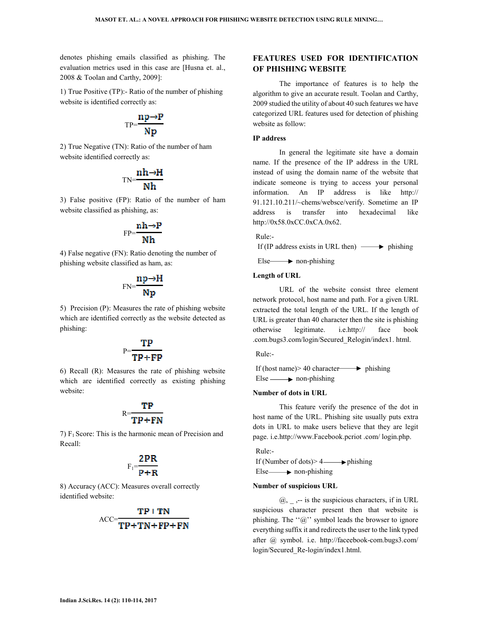denotes phishing emails classified as phishing. The evaluation metrics used in this case are [Husna et. al., 2008 & Toolan and Carthy, 2009]:

1) True Positive (TP):- Ratio of the number of phishing website is identified correctly as:

$$
\mathrm{TP}\text{=}\frac{np\text{-}P}{Np}
$$

2) True Negative (TN): Ratio of the number of ham website identified correctly as:

$$
\text{TN}=\frac{\text{n}\text{h}\rightarrow\text{H}}{\text{N}\text{h}}
$$

3) False positive (FP): Ratio of the number of ham website classified as phishing, as:

$$
FP = \frac{nh \rightarrow P}{Nh}
$$

4) False negative (FN): Ratio denoting the number of phishing website classified as ham, as:

$$
FN = \frac{np \rightarrow H}{Np}
$$

5) Precision (P): Measures the rate of phishing website which are identified correctly as the website detected as phishing:

# $P=\frac{TP}{TP+FP}$

6) Recall (R): Measures the rate of phishing website which are identified correctly as existing phishing website:

### $R=$

7)  $F_1$  Score: This is the harmonic mean of Precision and Recall:

## $F_1=\frac{2PR}{P+R}$

8) Accuracy (ACC): Measures overall correctly identified website:

$$
ACC = \frac{TP + TN}{TP + TN + FP + FN}
$$

#### **FEATURES USED FOR IDENTIFICATION OF PHISHING WEBSITE**

The importance of features is to help the algorithm to give an accurate result. Toolan and Carthy, 2009 studied the utility of about 40 such features we have categorized URL features used for detection of phishing website as follow:

#### **IP address**

In general the legitimate site have a domain name. If the presence of the IP address in the URL instead of using the domain name of the website that indicate someone is trying to access your personal information. An IP address is like http:// 91.121.10.211/~chems/websce/verify. Sometime an IP address is transfer into hexadecimal like http://0x58.0xCC.0xCA.0x62.

Rule:-

If (IP address exists in URL then)  $\longrightarrow$  phishing

 $Else \longrightarrow$  non-phishing

#### **Length of URL**

URL of the website consist three element network protocol, host name and path. For a given URL extracted the total length of the URL. If the length of URL is greater than 40 character then the site is phishing otherwise legitimate. i.e.http:// face book .com.bugs3.com/login/Secured\_Relogin/index1. html.

Rule:-

If (host name) > 40 character  $\longrightarrow$  phishing  $Else \longrightarrow non-phishing$ 

#### **Number of dots in URL**

This feature verify the presence of the dot in host name of the URL. Phishing site usually puts extra dots in URL to make users believe that they are legit page. i.e.http://www.Facebook.pcriot .com/ login.php.

Rule:-

If (Number of dots) >  $4 \longrightarrow$  phishing  $Else \longrightarrow$  non-phishing

#### **Number of suspicious URL**

 $@$ , -- is the suspicious characters, if in URL suspicious character present then that website is phishing. The " $@$ " symbol leads the browser to ignore everything suffix it and redirects the user to the link typed after @ symbol. i.e. http://faceebook-com.bugs3.com/ login/Secured\_Re-login/index1.html.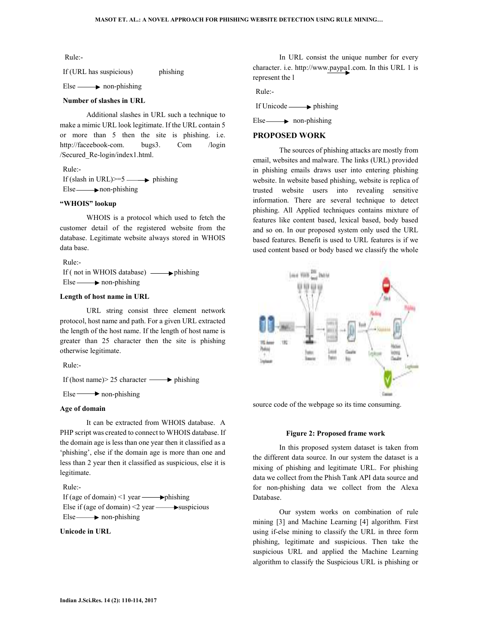#### Rule:-

If (URL has suspicious) phishing

 $Else \longrightarrow non-phishing$ 

#### **Number of slashes in URL**

Additional slashes in URL such a technique to make a mimic URL look legitimate. If the URL contain 5 or more than 5 then the site is phishing. i.e. http://faceebook-com. bugs3. Com /login /Secured\_Re-login/index1.html.

Rule:- If (slash in URL) $>=5$  phishing Else **non-phishing** 

#### **"WHOIS" lookup**

WHOIS is a protocol which used to fetch the customer detail of the registered website from the database. Legitimate website always stored in WHOIS data base.

Rule:- If (not in WHOIS database)  $\longrightarrow$  phishing  $Else \longrightarrow non-philing$ 

#### **Length of host name in URL**

URL string consist three element network protocol, host name and path. For a given URL extracted the length of the host name. If the length of host name is greater than 25 character then the site is phishing otherwise legitimate.

Rule:-

If (host name) > 25 character  $\longrightarrow$  phishing

 $Else \longrightarrow non-phishing$ 

#### **Age of domain**

It can be extracted from WHOIS database. A PHP script was created to connect to WHOIS database. If the domain age is less than one year then it classified as a 'phishing', else if the domain age is more than one and less than 2 year then it classified as suspicious, else it is legitimate.

#### Rule:-

If (age of domain)  $\leq 1$  year  $\longrightarrow$  phishing Else if (age of domain)  $\leq$  year  $\longrightarrow$  suspicious  $Else \longrightarrow non-phishing$ 

#### **Unicode in URL**

In URL consist the unique number for every character. i.e. http://www.paypa1.com. In this URL 1 is represent the l

Rule:-

If Unicode  $\longrightarrow$  phishing

 $Else \longrightarrow$  non-phishing

#### **PROPOSED WORK**

The sources of phishing attacks are mostly from email, websites and malware. The links (URL) provided in phishing emails draws user into entering phishing website. In website based phishing, website is replica of trusted website users into revealing sensitive information. There are several technique to detect phishing. All Applied techniques contains mixture of features like content based, lexical based, body based and so on. In our proposed system only used the URL based features. Benefit is used to URL features is if we used content based or body based we classify the whole



source code of the webpage so its time consuming.

#### **Figure 2: Proposed frame work**

In this proposed system dataset is taken from the different data source. In our system the dataset is a mixing of phishing and legitimate URL. For phishing data we collect from the Phish Tank API data source and for non-phishing data we collect from the Alexa Database.

Our system works on combination of rule mining [3] and Machine Learning [4] algorithm. First using if-else mining to classify the URL in three form phishing, legitimate and suspicious. Then take the suspicious URL and applied the Machine Learning algorithm to classify the Suspicious URL is phishing or